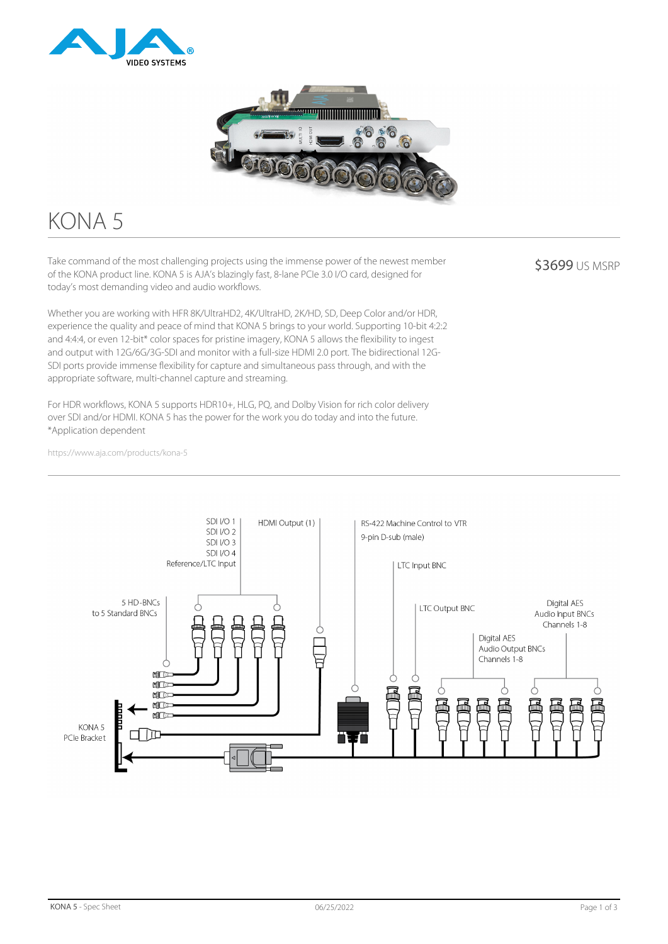



# KONA 5

Take command of the most challenging projects using the immense power of the newest member of the KONA product line. KONA 5 is AJA's blazingly fast, 8-lane PCIe 3.0 I/O card, designed for today's most demanding video and audio workflows.

Whether you are working with HFR 8K/UltraHD2, 4K/UltraHD, 2K/HD, SD, Deep Color and/or HDR, experience the quality and peace of mind that KONA 5 brings to your world. Supporting 10-bit 4:2:2 and 4:4:4, or even 12-bit\* color spaces for pristine imagery, KONA 5 allows the flexibility to ingest and output with 12G/6G/3G-SDI and monitor with a full-size HDMI 2.0 port. The bidirectional 12G-SDI ports provide immense flexibility for capture and simultaneous pass through, and with the appropriate software, multi-channel capture and streaming.

For HDR workflows, KONA 5 supports HDR10+, HLG, PQ, and Dolby Vision for rich color delivery over SDI and/or HDMI. KONA 5 has the power for the work you do today and into the future. \*Application dependent

**\$3699 US MSRP** 

https://www.aja.com/products/kona-5

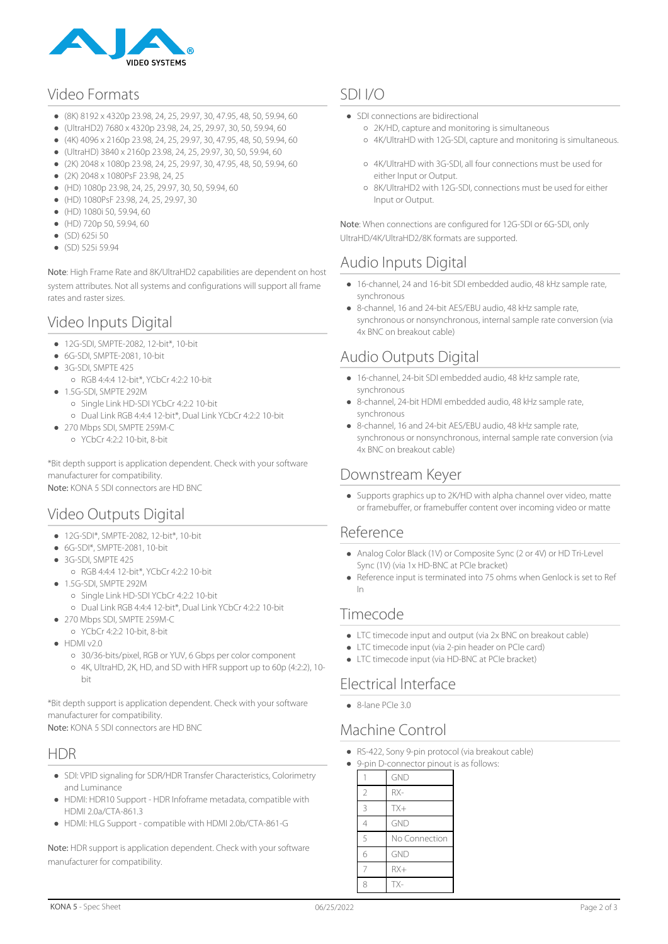

## Video Formats

- (8K) 8192 x 4320p 23.98, 24, 25, 29.97, 30, 47.95, 48, 50, 59.94, 60
- (UltraHD2) 7680 x 4320p 23.98, 24, 25, 29.97, 30, 50, 59.94, 60
- (4K) 4096 x 2160p 23.98, 24, 25, 29.97, 30, 47.95, 48, 50, 59.94, 60  $\bullet$
- (UltraHD) 3840 x 2160p 23.98, 24, 25, 29.97, 30, 50, 59.94, 60  $\bullet$
- (2K) 2048 x 1080p 23.98, 24, 25, 29.97, 30, 47.95, 48, 50, 59.94, 60
- (2K) 2048 x 1080PsF 23.98, 24, 25
- (HD) 1080p 23.98, 24, 25, 29.97, 30, 50, 59.94, 60
- (HD) 1080PsF 23.98, 24, 25, 29.97, 30
- (HD) 1080i 50, 59.94, 60
- (HD) 720p 50, 59.94, 60
- (SD) 625i 50
- $\bullet$  (SD) 525i 59.94

Note: High Frame Rate and 8K/UltraHD2 capabilities are dependent on host system attributes. Not all systems and configurations will support all frame rates and raster sizes.

## Video Inputs Digital

- 12G-SDI, SMPTE-2082, 12-bit\*, 10-bit
- 6G-SDI, SMPTE-2081, 10-bit
- 3G-SDI, SMPTE 425
	- RGB 4:4:4 12-bit\*, YCbCr 4:2:2 10-bit
- $\bullet$  1.5G-SDI, SMPTE 292M Single Link HD-SDI YCbCr 4:2:2 10-bit
- Dual Link RGB 4:4:4 12-bit\*, Dual Link YCbCr 4:2:2 10-bit  $\bullet$  270 Mbps SDI, SMPTE 259M-C
	- YCbCr 4:2:2 10-bit, 8-bit

\*Bit depth support is application dependent. Check with your software manufacturer for compatibility. Note: KONA 5 SDI connectors are HD BNC

# Video Outputs Digital

- 12G-SDI<sup>\*</sup>, SMPTF-2082, 12-bit<sup>\*</sup>, 10-bit
- 6G-SDI\*, SMPTE-2081, 10-bit
- 3G-SDI, SMPTE 425
	- RGB 4:4:4 12-bit\*, YCbCr 4:2:2 10-bit
- $-1.5$ G-SDI, SMPTF 292M
	- Single Link HD-SDI YCbCr 4:2:2 10-bit
	- Dual Link RGB 4:4:4 12-bit\*, Dual Link YCbCr 4:2:2 10-bit
- 270 Mbps SDI, SMPTE 259M-C
	- YCbCr 4:2:2 10-bit, 8-bit
- $\bullet$  HDMI v2.0
	- 30/36-bits/pixel, RGB or YUV, 6 Gbps per color component
	- 4K, UltraHD, 2K, HD, and SD with HFR support up to 60p (4:2:2), 10 bit

\*Bit depth support is application dependent. Check with your software manufacturer for compatibility.

Note: KONA 5 SDI connectors are HD BNC

#### HDR

- SDI: VPID signaling for SDR/HDR Transfer Characteristics, Colorimetry and Luminance
- HDMI: HDR10 Support HDR Infoframe metadata, compatible with HDMI 2.0a/CTA-861.3
- HDMI: HLG Support compatible with HDMI 2.0b/CTA-861-G

Note: HDR support is application dependent. Check with your software manufacturer for compatibility.

## SDI I/O

- SDI connections are bidirectional
	- 2K/HD, capture and monitoring is simultaneous
	- 4K/UltraHD with 12G-SDI, capture and monitoring is simultaneous.
	- 4K/UltraHD with 3G-SDI, all four connections must be used for either Input or Output.
	- 8K/UltraHD2 with 12G-SDI, connections must be used for either Input or Output.

Note: When connections are configured for 12G-SDI or 6G-SDI, only UltraHD/4K/UltraHD2/8K formats are supported.

## Audio Inputs Digital

- 16-channel, 24 and 16-bit SDI embedded audio, 48 kHz sample rate, synchronous
- 8-channel, 16 and 24-bit AES/EBU audio, 48 kHz sample rate, synchronous or nonsynchronous, internal sample rate conversion (via 4x BNC on breakout cable)

## Audio Outputs Digital

- 16-channel, 24-bit SDI embedded audio, 48 kHz sample rate, synchronous
- 8-channel, 24-bit HDMI embedded audio, 48 kHz sample rate, synchronous
- 8-channel, 16 and 24-bit AES/EBU audio, 48 kHz sample rate, synchronous or nonsynchronous, internal sample rate conversion (via 4x BNC on breakout cable)

#### Downstream Keyer

Supports graphics up to 2K/HD with alpha channel over video, matte or framebuffer, or framebuffer content over incoming video or matte

#### Reference

- Analog Color Black (1V) or Composite Sync (2 or 4V) or HD Tri-Level Sync (1V) (via 1x HD-BNC at PCIe bracket)
- Reference input is terminated into 75 ohms when Genlock is set to Ref In

#### Timecode

- LTC timecode input and output (via 2x BNC on breakout cable)
- LTC timecode input (via 2-pin header on PCIe card)
- LTC timecode input (via HD-BNC at PCIe bracket)

## Electrical Interface

 $\bullet$  8-lane PCIe 3.0

## Machine Control

- RS-422, Sony 9-pin protocol (via breakout cable)
- 9-pin D-connector pinout is as follows:

|                | GND           |
|----------------|---------------|
| $\overline{2}$ | $RX-$         |
| 3              | $TX+$         |
| $\overline{4}$ | <b>GND</b>    |
| 5              | No Connection |
| 6              | <b>GND</b>    |
| 7              | $RX+$         |
|                | TX-           |